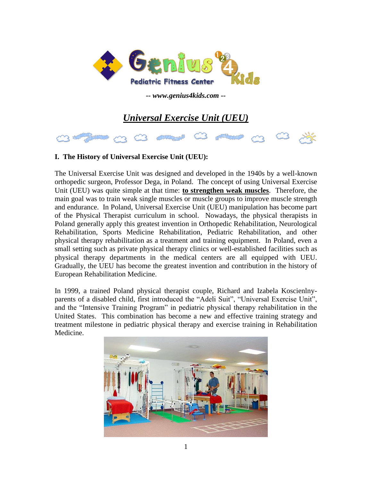

*-- www.genius4kids.com --*

# *Universal Exercise Unit (UEU)*



# **I. The History of Universal Exercise Unit (UEU):**

The Universal Exercise Unit was designed and developed in the 1940s by a well-known orthopedic surgeon, Professor Dega, in Poland. The concept of using Universal Exercise Unit (UEU) was quite simple at that time: **to strengthen weak muscles**. Therefore, the main goal was to train weak single muscles or muscle groups to improve muscle strength and endurance. In Poland, Universal Exercise Unit (UEU) manipulation has become part of the Physical Therapist curriculum in school. Nowadays, the physical therapists in Poland generally apply this greatest invention in Orthopedic Rehabilitation, Neurological Rehabilitation, Sports Medicine Rehabilitation, Pediatric Rehabilitation, and other physical therapy rehabilitation as a treatment and training equipment. In Poland, even a small setting such as private physical therapy clinics or well-established facilities such as physical therapy departments in the medical centers are all equipped with UEU. Gradually, the UEU has become the greatest invention and contribution in the history of European Rehabilitation Medicine.

In 1999, a trained Poland physical therapist couple, Richard and Izabela Koscienlnyparents of a disabled child, first introduced the "Adeli Suit", "Universal Exercise Unit", and the "Intensive Training Program" in pediatric physical therapy rehabilitation in the United States. This combination has become a new and effective training strategy and treatment milestone in pediatric physical therapy and exercise training in Rehabilitation Medicine.

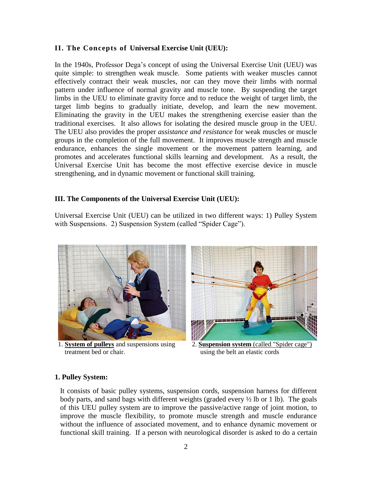### **II. The Concepts of Universal Exercise Unit (UEU):**

In the 1940s, Professor Dega's concept of using the Universal Exercise Unit (UEU) was quite simple: to strengthen weak muscle. Some patients with weaker muscles cannot effectively contract their weak muscles, nor can they move their limbs with normal pattern under influence of normal gravity and muscle tone. By suspending the target limbs in the UEU to eliminate gravity force and to reduce the weight of target limb, the target limb begins to gradually initiate, develop, and learn the new movement. Eliminating the gravity in the UEU makes the strengthening exercise easier than the traditional exercises. It also allows for isolating the desired muscle group in the UEU. The UEU also provides the proper *assistance and resistance* for weak muscles or muscle groups in the completion of the full movement. It improves muscle strength and muscle endurance, enhances the single movement or the movement pattern learning, and promotes and accelerates functional skills learning and development. As a result, the Universal Exercise Unit has become the most effective exercise device in muscle strengthening, and in dynamic movement or functional skill training.

#### **III. The Components of the Universal Exercise Unit (UEU):**

Universal Exercise Unit (UEU) can be utilized in two different ways: 1) Pulley System with Suspensions. 2) Suspension System (called "Spider Cage").



 1. **System of pulleys** and suspensions using 2. **Suspension system** (called "Spider cage") **treatment bed or chair.** using the belt an elastic cords



#### **1. Pulley System:**

It consists of basic pulley systems, suspension cords, suspension harness for different body parts, and sand bags with different weights (graded every ½ lb or 1 lb). The goals of this UEU pulley system are to improve the passive/active range of joint motion, to improve the muscle flexibility, to promote muscle strength and muscle endurance without the influence of associated movement, and to enhance dynamic movement or functional skill training. If a person with neurological disorder is asked to do a certain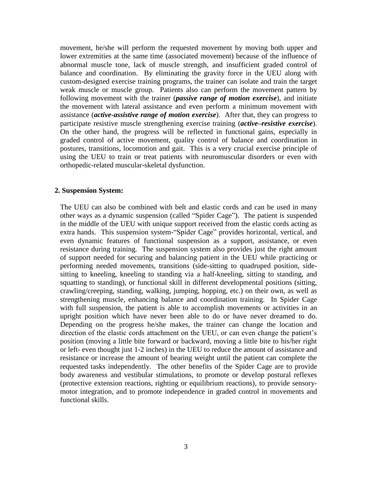movement, he/she will perform the requested movement by moving both upper and lower extremities at the same time (associated movement) because of the influence of abnormal muscle tone, lack of muscle strength, and insufficient graded control of balance and coordination. By eliminating the gravity force in the UEU along with custom-designed exercise training programs, the trainer can isolate and train the target weak muscle or muscle group. Patients also can perform the movement pattern by following movement with the trainer (*passive range of motion exercise*), and initiate the movement with lateral assistance and even perform a minimum movement with assistance (*active-assistive range of motion exercise*). After that, they can progress to participate resistive muscle strengthening exercise training (*active–resistive exercise*). On the other hand, the progress will be reflected in functional gains, especially in graded control of active movement, quality control of balance and coordination in postures, transitions, locomotion and gait. This is a very crucial exercise principle of using the UEU to train or treat patients with neuromuscular disorders or even with orthopedic-related muscular-skeletal dysfunction.

#### **2. Suspension System:**

The UEU can also be combined with belt and elastic cords and can be used in many other ways as a dynamic suspension (called "Spider Cage"). The patient is suspended in the middle of the UEU with unique support received from the elastic cords acting as extra hands. This suspension system-"Spider Cage" provides horizontal, vertical, and even dynamic features of functional suspension as a support, assistance, or even resistance during training. The suspension system also provides just the right amount of support needed for securing and balancing patient in the UEU while practicing or performing needed movements, transitions (side-sitting to quadruped position, sidesitting to kneeling, kneeling to standing via a half-kneeling, sitting to standing, and squatting to standing), or functional skill in different developmental positions (sitting, crawling/creeping, standing, walking, jumping, hopping, etc.) on their own, as well as strengthening muscle, enhancing balance and coordination training. In Spider Cage with full suspension, the patient is able to accomplish movements or activities in an upright position which have never been able to do or have never dreamed to do. Depending on the progress he/she makes, the trainer can change the location and direction of the elastic cords attachment on the UEU, or can even change the patient's position (moving a little bite forward or backward, moving a little bite to his/her right or left- even thought just 1-2 inches) in the UEU to reduce the amount of assistance and resistance or increase the amount of bearing weight until the patient can complete the requested tasks independently. The other benefits of the Spider Cage are to provide body awareness and vestibular stimulations, to promote or develop postural reflexes (protective extension reactions, righting or equilibrium reactions), to provide sensorymotor integration, and to promote independence in graded control in movements and functional skills.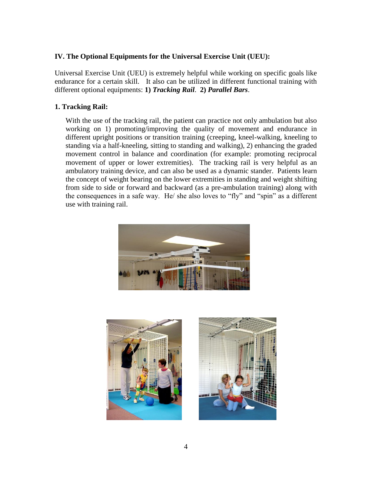## **IV. The Optional Equipments for the Universal Exercise Unit (UEU):**

Universal Exercise Unit (UEU) is extremely helpful while working on specific goals like endurance for a certain skill. It also can be utilized in different functional training with different optional equipments: **1)** *Tracking Rail*. **2)** *Parallel Bars*.

### **1. Tracking Rail:**

With the use of the tracking rail, the patient can practice not only ambulation but also working on 1) promoting/improving the quality of movement and endurance in different upright positions or transition training (creeping, kneel-walking, kneeling to standing via a half-kneeling, sitting to standing and walking), 2) enhancing the graded movement control in balance and coordination (for example: promoting reciprocal movement of upper or lower extremities). The tracking rail is very helpful as an ambulatory training device, and can also be used as a dynamic stander. Patients learn the concept of weight bearing on the lower extremities in standing and weight shifting from side to side or forward and backward (as a pre-ambulation training) along with the consequences in a safe way. He/ she also loves to "fly" and "spin" as a different use with training rail.